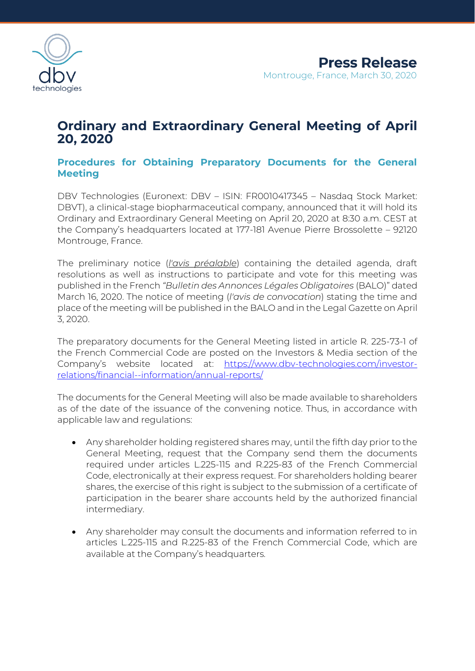

## **Ordinary and Extraordinary General Meeting of April 20, 2020**

## **Procedures for Obtaining Preparatory Documents for the General Meeting**

DBV Technologies (Euronext: DBV – ISIN: FR0010417345 – Nasdaq Stock Market: DBVT), a clinical-stage biopharmaceutical company, announced that it will hold its Ordinary and Extraordinary General Meeting on April 20, 2020 at 8:30 a.m. CEST at the Company's headquarters located at 177-181 Avenue Pierre Brossolette – 92120 Montrouge, France.

The preliminary notice (*l'avis préalable*) containing the detailed agenda, draft resolutions as well as instructions to participate and vote for this meeting was published in the French *"Bulletin des Annonces Légales Obligatoires* (BALO)" dated March 16, 2020. The notice of meeting (*l'avis de convocation*) stating the time and place of the meeting will be published in the BALO and in the Legal Gazette on April 3, 2020.

The preparatory documents for the General Meeting listed in article R. 225-73-1 of the French Commercial Code are posted on the Investors & Media section of the Company's website located at: [https://www.dbv-technologies.com/investor](https://www.dbv-technologies.com/investor-relations/financial-information/annual-reports/)[relations/financial--information/annual-reports/](https://www.dbv-technologies.com/investor-relations/financial-information/annual-reports/)

The documents for the General Meeting will also be made available to shareholders as of the date of the issuance of the convening notice. Thus, in accordance with applicable law and regulations:

- Any shareholder holding registered shares may, until the fifth day prior to the General Meeting, request that the Company send them the documents required under articles L.225-115 and R.225-83 of the French Commercial Code, electronically at their express request. For shareholders holding bearer shares, the exercise of this right is subject to the submission of a certificate of participation in the bearer share accounts held by the authorized financial intermediary.
- Any shareholder may consult the documents and information referred to in articles L.225-115 and R.225-83 of the French Commercial Code, which are available at the Company's headquarters*.*